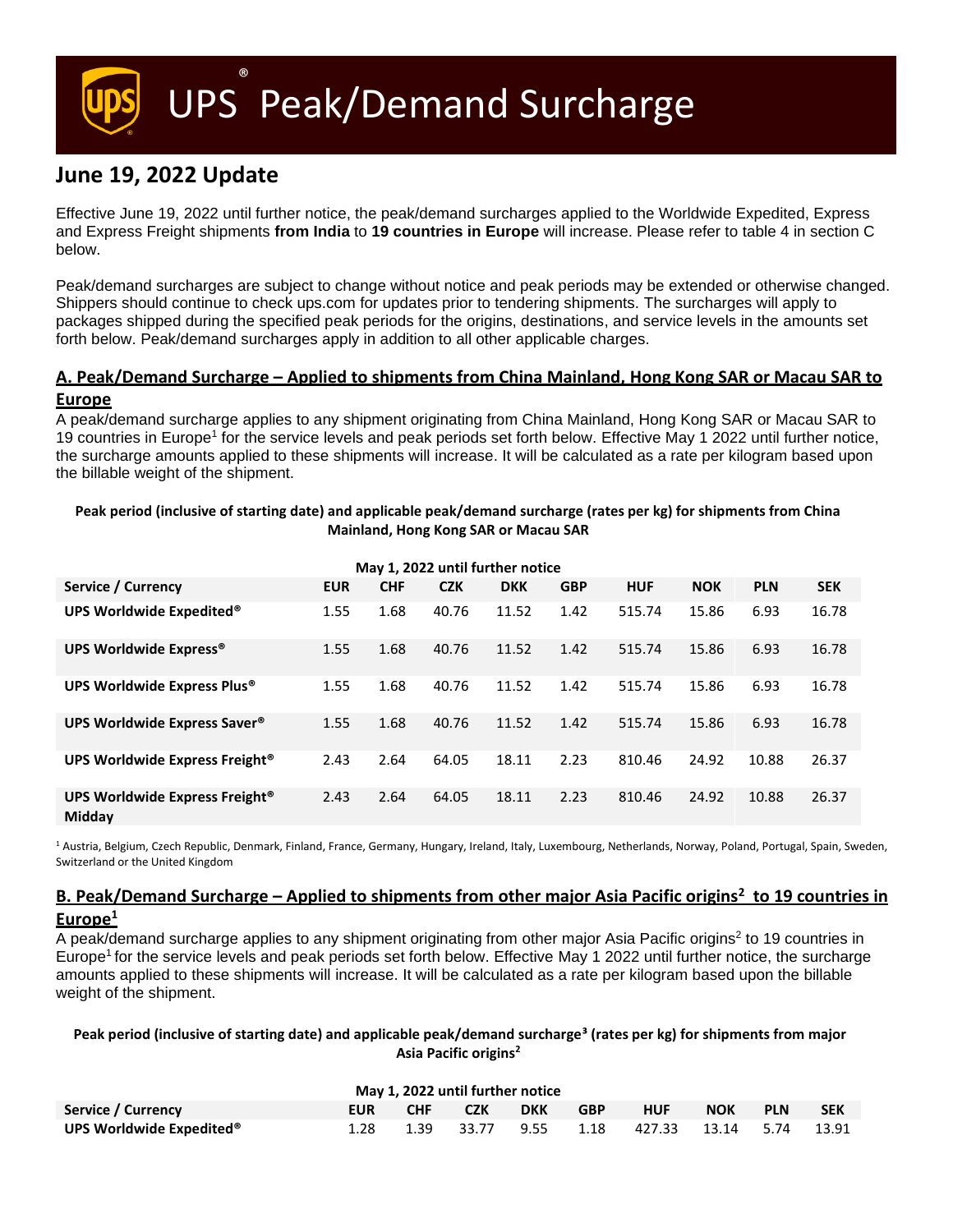UPS ® Peak/Demand Surcharge

# **June 19, 2022 Update**

Effective June 19, 2022 until further notice, the peak/demand surcharges applied to the Worldwide Expedited, Express and Express Freight shipments **from India** to **19 countries in Europe** will increase. Please refer to table 4 in section C below.

Peak/demand surcharges are subject to change without notice and peak periods may be extended or otherwise changed. Shippers should continue to check ups.com for updates prior to tendering shipments. The surcharges will apply to packages shipped during the specified peak periods for the origins, destinations, and service levels in the amounts set forth below. Peak/demand surcharges apply in addition to all other applicable charges.

# **A. Peak/Demand Surcharge – Applied to shipments from China Mainland, Hong Kong SAR or Macau SAR to Europe**

A peak/demand surcharge applies to any shipment originating from China Mainland, Hong Kong SAR or Macau SAR to 19 countries in Europe<sup>1</sup> for the service levels and peak periods set forth below. Effective May 1 2022 until further notice, the surcharge amounts applied to these shipments will increase. It will be calculated as a rate per kilogram based upon the billable weight of the shipment.

# **Peak period (inclusive of starting date) and applicable peak/demand surcharge (rates per kg) for shipments from China Mainland, Hong Kong SAR or Macau SAR**

| May 1, 2022 until further notice                     |            |            |            |            |            |            |            |            |            |  |  |  |
|------------------------------------------------------|------------|------------|------------|------------|------------|------------|------------|------------|------------|--|--|--|
| Service / Currency                                   | <b>EUR</b> | <b>CHF</b> | <b>CZK</b> | <b>DKK</b> | <b>GBP</b> | <b>HUF</b> | <b>NOK</b> | <b>PLN</b> | <b>SEK</b> |  |  |  |
| UPS Worldwide Expedited®                             | 1.55       | 1.68       | 40.76      | 11.52      | 1.42       | 515.74     | 15.86      | 6.93       | 16.78      |  |  |  |
| UPS Worldwide Express®                               | 1.55       | 1.68       | 40.76      | 11.52      | 1.42       | 515.74     | 15.86      | 6.93       | 16.78      |  |  |  |
| UPS Worldwide Express Plus®                          | 1.55       | 1.68       | 40.76      | 11.52      | 1.42       | 515.74     | 15.86      | 6.93       | 16.78      |  |  |  |
| UPS Worldwide Express Saver <sup>®</sup>             | 1.55       | 1.68       | 40.76      | 11.52      | 1.42       | 515.74     | 15.86      | 6.93       | 16.78      |  |  |  |
| UPS Worldwide Express Freight <sup>®</sup>           | 2.43       | 2.64       | 64.05      | 18.11      | 2.23       | 810.46     | 24.92      | 10.88      | 26.37      |  |  |  |
| UPS Worldwide Express Freight <sup>®</sup><br>Midday | 2.43       | 2.64       | 64.05      | 18.11      | 2.23       | 810.46     | 24.92      | 10.88      | 26.37      |  |  |  |

<sup>1</sup> Austria, Belgium, Czech Republic, Denmark, Finland, France, Germany, Hungary, Ireland, Italy, Luxembourg, Netherlands, Norway, Poland, Portugal, Spain, Sweden, Switzerland or the United Kingdom

# **B. Peak/Demand Surcharge – Applied to shipments from other major Asia Pacific origins<sup>2</sup> to 19 countries in**

**Europe<sup>1</sup>**

A peak/demand surcharge applies to any shipment originating from other major Asia Pacific origins<sup>2</sup> to 19 countries in Europe<sup>1</sup> for the service levels and peak periods set forth below. Effective May 1 2022 until further notice, the surcharge amounts applied to these shipments will increase. It will be calculated as a rate per kilogram based upon the billable weight of the shipment.

## **Peak period (inclusive of starting date) and applicable peak/demand surcharge³ (rates per kg) for shipments from major Asia Pacific origins<sup>2</sup>**

| May 1, 2022 until further notice     |            |            |            |     |            |                                   |     |            |            |
|--------------------------------------|------------|------------|------------|-----|------------|-----------------------------------|-----|------------|------------|
| Service / Currency                   | <b>EUR</b> | <b>CHF</b> | <b>CZK</b> | DKK | <b>GBP</b> | <b>HUF</b>                        | NOK | <b>PLN</b> | <b>SEK</b> |
| UPS Worldwide Expedited <sup>®</sup> | 1.28       | 1.39       |            |     |            | 33.77 9.55 1.18 427.33 13.14 5.74 |     |            | 13.91      |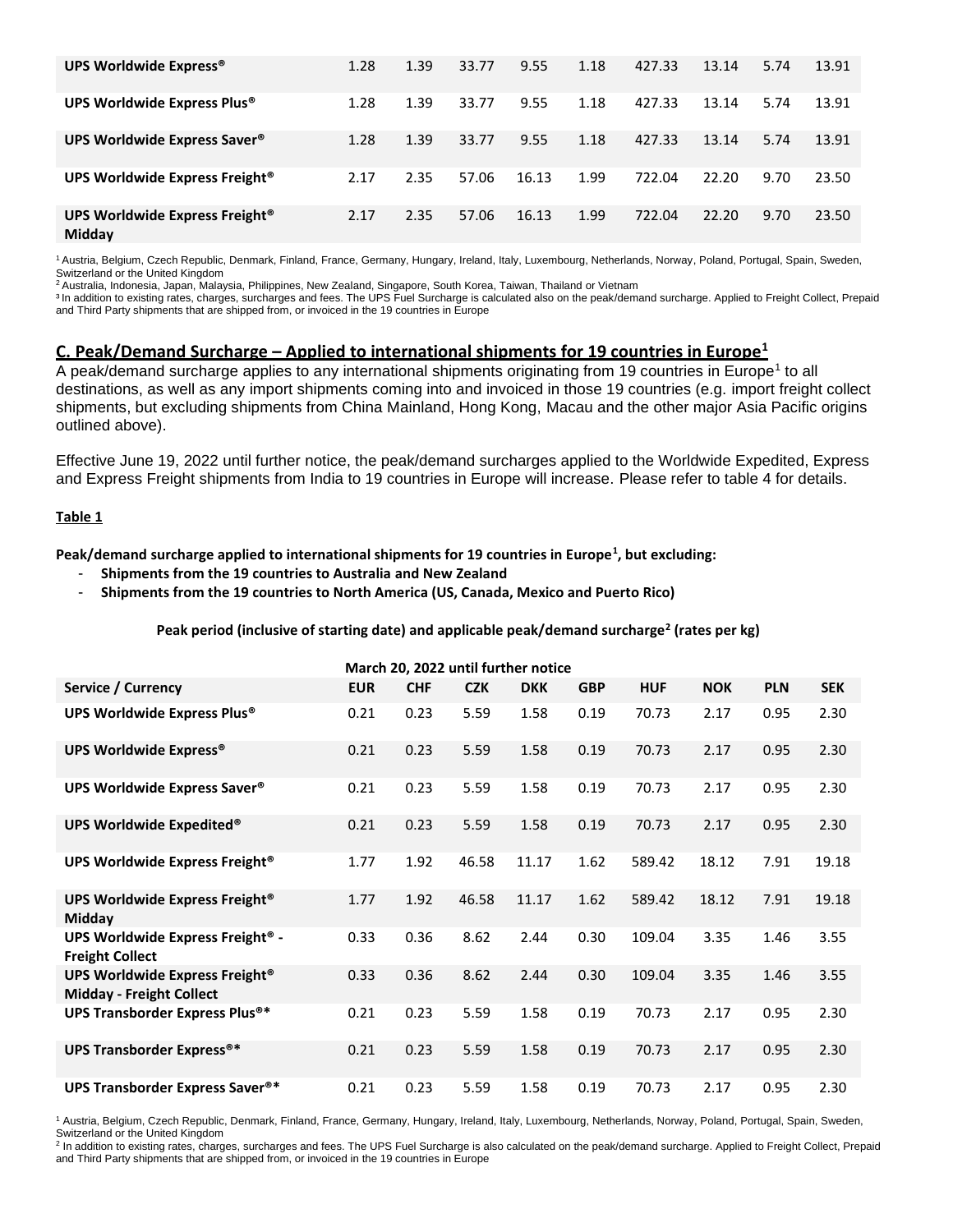| UPS Worldwide Express®                               | 1.28 | 1.39 | 33.77 | 9.55  | 1.18 | 427.33 | 13.14 | 5.74 | 13.91 |
|------------------------------------------------------|------|------|-------|-------|------|--------|-------|------|-------|
| UPS Worldwide Express Plus®                          | 1.28 | 1.39 | 33.77 | 9.55  | 1.18 | 427.33 | 13.14 | 5.74 | 13.91 |
| UPS Worldwide Express Saver <sup>®</sup>             | 1.28 | 1.39 | 33.77 | 9.55  | 1.18 | 427.33 | 13.14 | 5.74 | 13.91 |
| UPS Worldwide Express Freight®                       | 2.17 | 2.35 | 57.06 | 16.13 | 1.99 | 722.04 | 22.20 | 9.70 | 23.50 |
| UPS Worldwide Express Freight <sup>®</sup><br>Midday | 2.17 | 2.35 | 57.06 | 16.13 | 1.99 | 722.04 | 22.20 | 9.70 | 23.50 |

<sup>1</sup>Austria, Belgium, Czech Republic, Denmark, Finland, France, Germany, Hungary, Ireland, Italy, Luxembourg, Netherlands, Norway, Poland, Portugal, Spain, Sweden, Switzerland or the United Kingdom

<sup>2</sup>Australia, Indonesia, Japan, Malaysia, Philippines, New Zealand, Singapore, South Korea, Taiwan, Thailand or Vietnam

<sup>3</sup> In addition to existing rates, charges, surcharges and fees. The UPS Fuel Surcharge is calculated also on the peak/demand surcharge. Applied to Freight Collect, Prepaid and Third Party shipments that are shipped from, or invoiced in the 19 countries in Europe

## **C. Peak/Demand Surcharge – Applied to international shipments for 19 countries in Europe<sup>1</sup>**

A peak/demand surcharge applies to any international shipments originating from 19 countries in Europe<sup>1</sup> to all destinations, as well as any import shipments coming into and invoiced in those 19 countries (e.g. import freight collect shipments, but excluding shipments from China Mainland, Hong Kong, Macau and the other major Asia Pacific origins outlined above).

Effective June 19, 2022 until further notice, the peak/demand surcharges applied to the Worldwide Expedited, Express and Express Freight shipments from India to 19 countries in Europe will increase. Please refer to table 4 for details.

#### **Table 1**

**Peak/demand surcharge applied to international shipments for 19 countries in Europe<sup>1</sup> , but excluding:**

- **Shipments from the 19 countries to Australia and New Zealand**
- **Shipments from the 19 countries to North America (US, Canada, Mexico and Puerto Rico)**

#### **Peak period (inclusive of starting date) and applicable peak/demand surcharge<sup>2</sup> (rates per kg)**

| March 20, 2022 until further notice                                      |            |            |            |            |            |            |            |            |            |  |
|--------------------------------------------------------------------------|------------|------------|------------|------------|------------|------------|------------|------------|------------|--|
| Service / Currency                                                       | <b>EUR</b> | <b>CHF</b> | <b>CZK</b> | <b>DKK</b> | <b>GBP</b> | <b>HUF</b> | <b>NOK</b> | <b>PLN</b> | <b>SEK</b> |  |
| UPS Worldwide Express Plus®                                              | 0.21       | 0.23       | 5.59       | 1.58       | 0.19       | 70.73      | 2.17       | 0.95       | 2.30       |  |
| <b>UPS Worldwide Express®</b>                                            | 0.21       | 0.23       | 5.59       | 1.58       | 0.19       | 70.73      | 2.17       | 0.95       | 2.30       |  |
| UPS Worldwide Express Saver®                                             | 0.21       | 0.23       | 5.59       | 1.58       | 0.19       | 70.73      | 2.17       | 0.95       | 2.30       |  |
| UPS Worldwide Expedited®                                                 | 0.21       | 0.23       | 5.59       | 1.58       | 0.19       | 70.73      | 2.17       | 0.95       | 2.30       |  |
| UPS Worldwide Express Freight®                                           | 1.77       | 1.92       | 46.58      | 11.17      | 1.62       | 589.42     | 18.12      | 7.91       | 19.18      |  |
| UPS Worldwide Express Freight®<br>Midday                                 | 1.77       | 1.92       | 46.58      | 11.17      | 1.62       | 589.42     | 18.12      | 7.91       | 19.18      |  |
| UPS Worldwide Express Freight® -<br><b>Freight Collect</b>               | 0.33       | 0.36       | 8.62       | 2.44       | 0.30       | 109.04     | 3.35       | 1.46       | 3.55       |  |
| <b>UPS Worldwide Express Freight®</b><br><b>Midday - Freight Collect</b> | 0.33       | 0.36       | 8.62       | 2.44       | 0.30       | 109.04     | 3.35       | 1.46       | 3.55       |  |
| <b>UPS Transborder Express Plus®*</b>                                    | 0.21       | 0.23       | 5.59       | 1.58       | 0.19       | 70.73      | 2.17       | 0.95       | 2.30       |  |
| <b>UPS Transborder Express®*</b>                                         | 0.21       | 0.23       | 5.59       | 1.58       | 0.19       | 70.73      | 2.17       | 0.95       | 2.30       |  |
| <b>UPS Transborder Express Saver®*</b>                                   | 0.21       | 0.23       | 5.59       | 1.58       | 0.19       | 70.73      | 2.17       | 0.95       | 2.30       |  |

<sup>1</sup> Austria, Belgium, Czech Republic, Denmark, Finland, France, Germany, Hungary, Ireland, Italy, Luxembourg, Netherlands, Norway, Poland, Portugal, Spain, Sweden, Switzerland or the United Kingdom

<sup>2</sup> In addition to existing rates, charges, surcharges and fees. The UPS Fuel Surcharge is also calculated on the peak/demand surcharge. Applied to Freight Collect, Prepaid and Third Party shipments that are shipped from, or invoiced in the 19 countries in Europe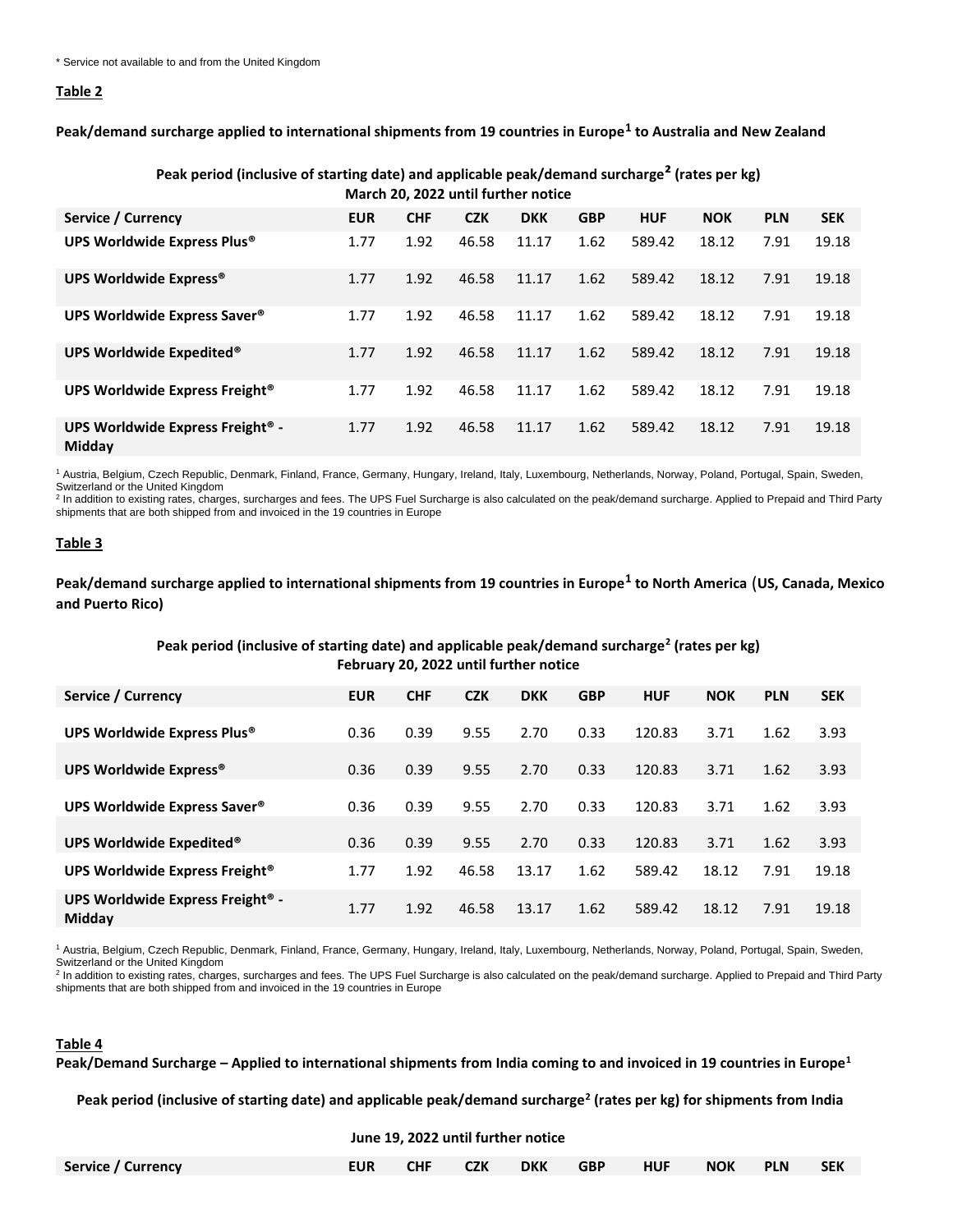#### **Table 2**

**Peak/demand surcharge applied to international shipments from 19 countries in Europe<sup>1</sup> to Australia and New Zealand**

| March 20, 2022 until further notice                    |            |            |            |            |            |            |            |            |            |  |  |
|--------------------------------------------------------|------------|------------|------------|------------|------------|------------|------------|------------|------------|--|--|
| Service / Currency                                     | <b>EUR</b> | <b>CHF</b> | <b>CZK</b> | <b>DKK</b> | <b>GBP</b> | <b>HUF</b> | <b>NOK</b> | <b>PLN</b> | <b>SEK</b> |  |  |
| UPS Worldwide Express Plus®                            | 1.77       | 1.92       | 46.58      | 11.17      | 1.62       | 589.42     | 18.12      | 7.91       | 19.18      |  |  |
| UPS Worldwide Express®                                 | 1.77       | 1.92       | 46.58      | 11.17      | 1.62       | 589.42     | 18.12      | 7.91       | 19.18      |  |  |
| UPS Worldwide Express Saver <sup>®</sup>               | 1.77       | 1.92       | 46.58      | 11.17      | 1.62       | 589.42     | 18.12      | 7.91       | 19.18      |  |  |
| UPS Worldwide Expedited®                               | 1.77       | 1.92       | 46.58      | 11.17      | 1.62       | 589.42     | 18.12      | 7.91       | 19.18      |  |  |
| UPS Worldwide Express Freight <sup>®</sup>             | 1.77       | 1.92       | 46.58      | 11.17      | 1.62       | 589.42     | 18.12      | 7.91       | 19.18      |  |  |
| UPS Worldwide Express Freight <sup>®</sup> -<br>Midday | 1.77       | 1.92       | 46.58      | 11.17      | 1.62       | 589.42     | 18.12      | 7.91       | 19.18      |  |  |

**Peak period (inclusive of starting date) and applicable peak/demand surcharge² (rates per kg)**

<sup>1</sup> Austria, Belgium, Czech Republic, Denmark, Finland, France, Germany, Hungary, Ireland, Italy, Luxembourg, Netherlands, Norway, Poland, Portugal, Spain, Sweden,

Switzerland or the United Kingdom<br><sup>2</sup> In addition to existing rates, charges, surcharges and fees. The UPS Fuel Surcharge is also calculated on the peak/demand surcharge. Applied to Prepaid and Third Party shipments that are both shipped from and invoiced in the 19 countries in Europe

#### **Table 3**

**Peak/demand surcharge applied to international shipments from 19 countries in Europe<sup>1</sup> to North America** (**US, Canada, Mexico and Puerto Rico)**

#### **Peak period (inclusive of starting date) and applicable peak/demand surcharge<sup>2</sup> (rates per kg) February 20, 2022 until further notice**

| Service / Currency                                            | <b>EUR</b> | <b>CHF</b> | <b>CZK</b> | <b>DKK</b> | <b>GBP</b> | <b>HUF</b> | <b>NOK</b> | <b>PLN</b> | <b>SEK</b> |
|---------------------------------------------------------------|------------|------------|------------|------------|------------|------------|------------|------------|------------|
|                                                               |            |            |            |            |            |            |            |            |            |
| UPS Worldwide Express Plus®                                   | 0.36       | 0.39       | 9.55       | 2.70       | 0.33       | 120.83     | 3.71       | 1.62       | 3.93       |
|                                                               |            |            |            |            |            |            |            |            |            |
| UPS Worldwide Express®                                        | 0.36       | 0.39       | 9.55       | 2.70       | 0.33       | 120.83     | 3.71       | 1.62       | 3.93       |
|                                                               |            |            |            |            |            |            |            |            |            |
| UPS Worldwide Express Saver <sup>®</sup>                      | 0.36       | 0.39       | 9.55       | 2.70       | 0.33       | 120.83     | 3.71       | 1.62       | 3.93       |
|                                                               |            |            |            |            |            |            |            |            |            |
| UPS Worldwide Expedited®                                      | 0.36       | 0.39       | 9.55       | 2.70       | 0.33       | 120.83     | 3.71       | 1.62       | 3.93       |
| UPS Worldwide Express Freight <sup>®</sup>                    | 1.77       | 1.92       | 46.58      | 13.17      | 1.62       | 589.42     | 18.12      | 7.91       | 19.18      |
| UPS Worldwide Express Freight <sup>®</sup> -<br><b>Midday</b> | 1.77       | 1.92       | 46.58      | 13.17      | 1.62       | 589.42     | 18.12      | 7.91       | 19.18      |

<sup>1</sup> Austria, Belgium, Czech Republic, Denmark, Finland, France, Germany, Hungary, Ireland, Italy, Luxembourg, Netherlands, Norway, Poland, Portugal, Spain, Sweden, Switzerland or the United Kingdom

<sup>2</sup> In addition to existing rates, charges, surcharges and fees. The UPS Fuel Surcharge is also calculated on the peak/demand surcharge. Applied to Prepaid and Third Party shipments that are both shipped from and invoiced in the 19 countries in Europe

# **Table 4**

**Peak/Demand Surcharge – Applied to international shipments from India coming to and invoiced in 19 countries in Europe<sup>1</sup>**

**Peak period (inclusive of starting date) and applicable peak/demand surcharge<sup>2</sup> (rates per kg) for shipments from India**

**June 19, 2022 until further notice**

| Service / Currency |  |  | EUR CHF CZK DKK GBP HUF NOK PLN SEK |  |  |
|--------------------|--|--|-------------------------------------|--|--|